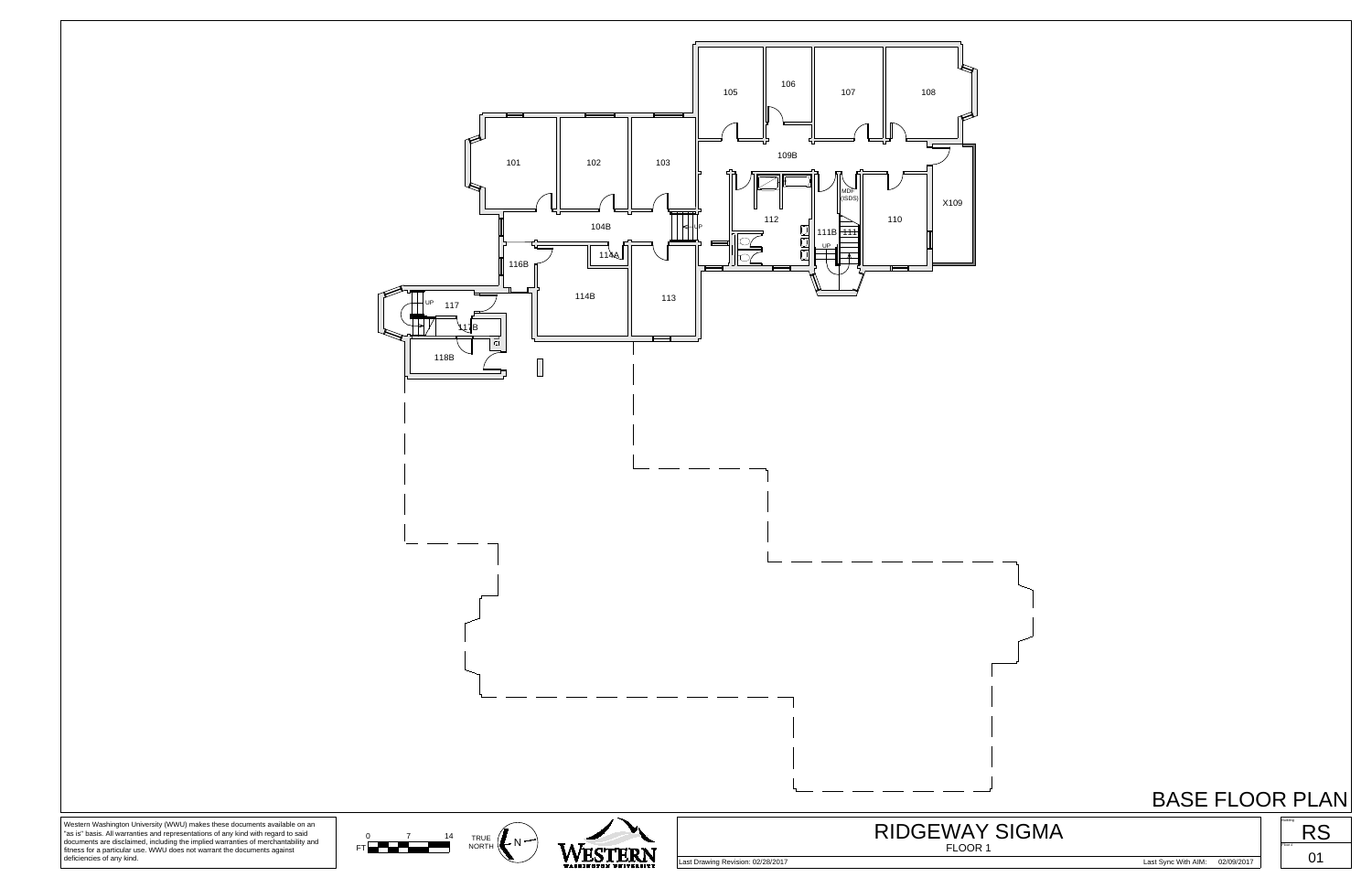

Western Washington University (WWU) makes these documents available on an "as is" basis. All warranties and representations of any kind with regard to said documents are disclaimed, including the implied warranties of merc





## BASE FLOOR PLAN

Last Drawing Revision: 02/28/2017 Last Sync With AIM: 02/09/2017



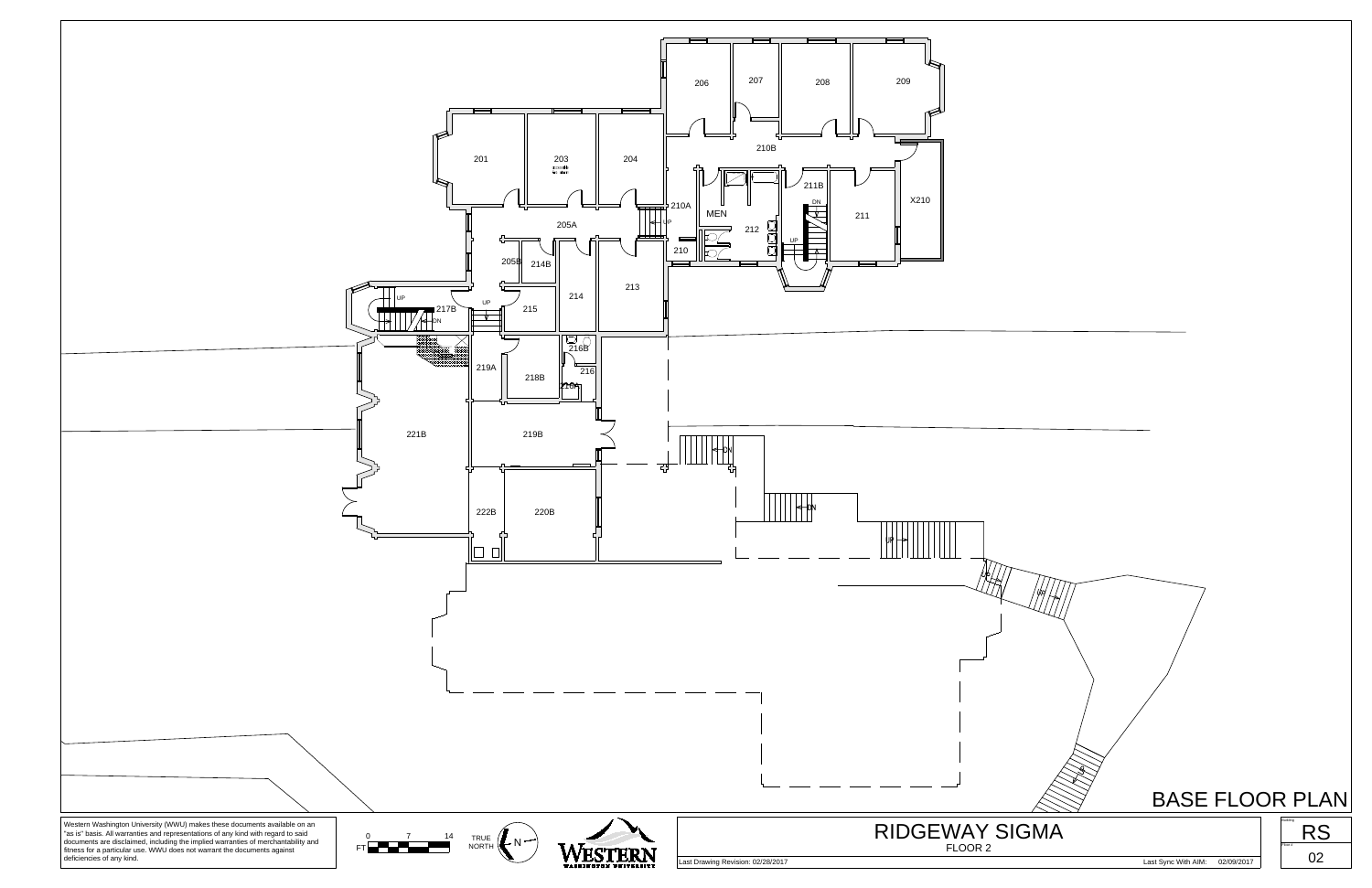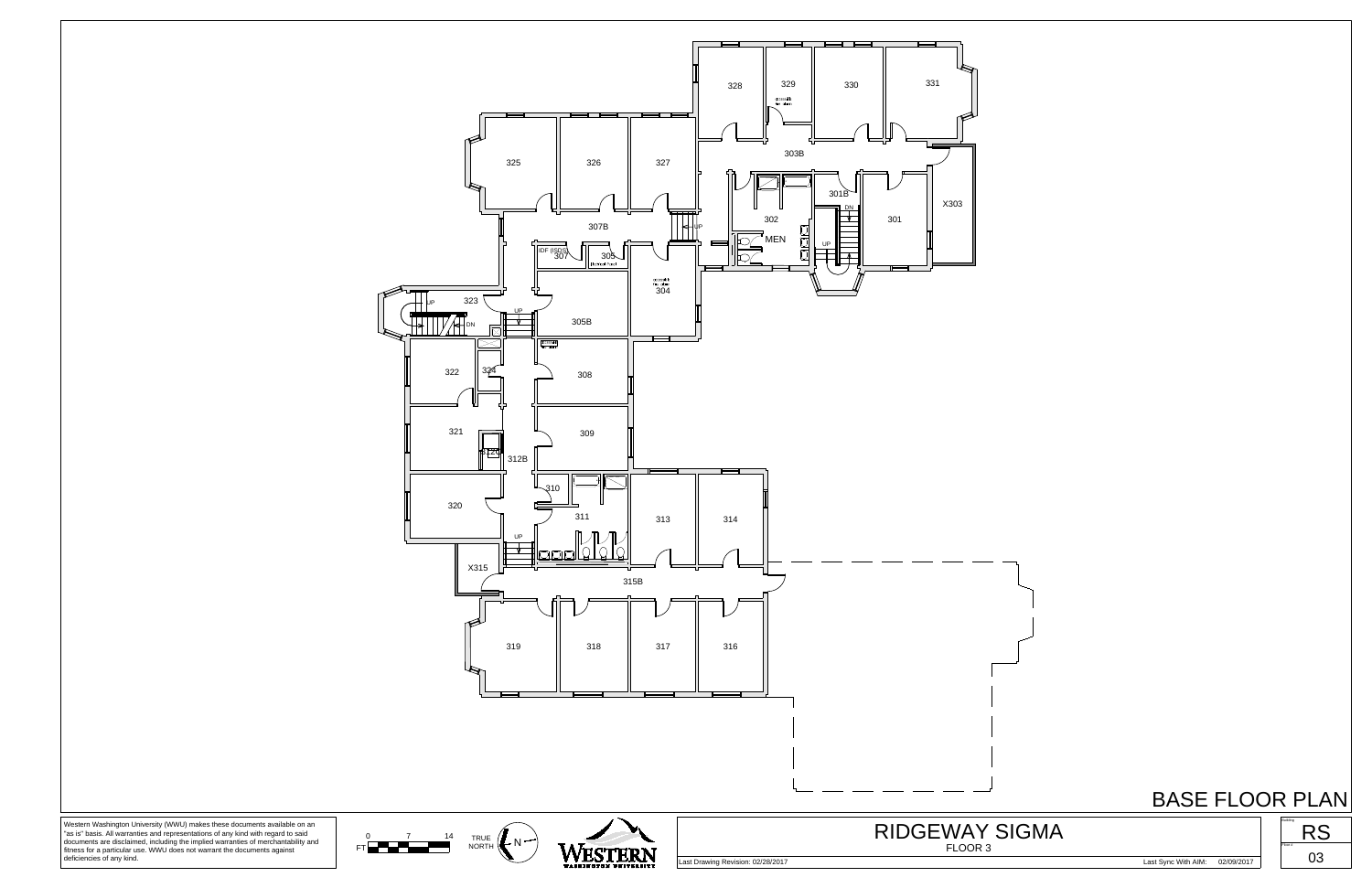## BASE FLOOR PLAN







documents are disclaimed, including the implied warranties of merchantability and fitness for a particular use. WWU does not warrant the documents against deficiencies of any kind.

Last Drawing Revision: 02/28/2017 Last Sync With AIM: 02/09/2017



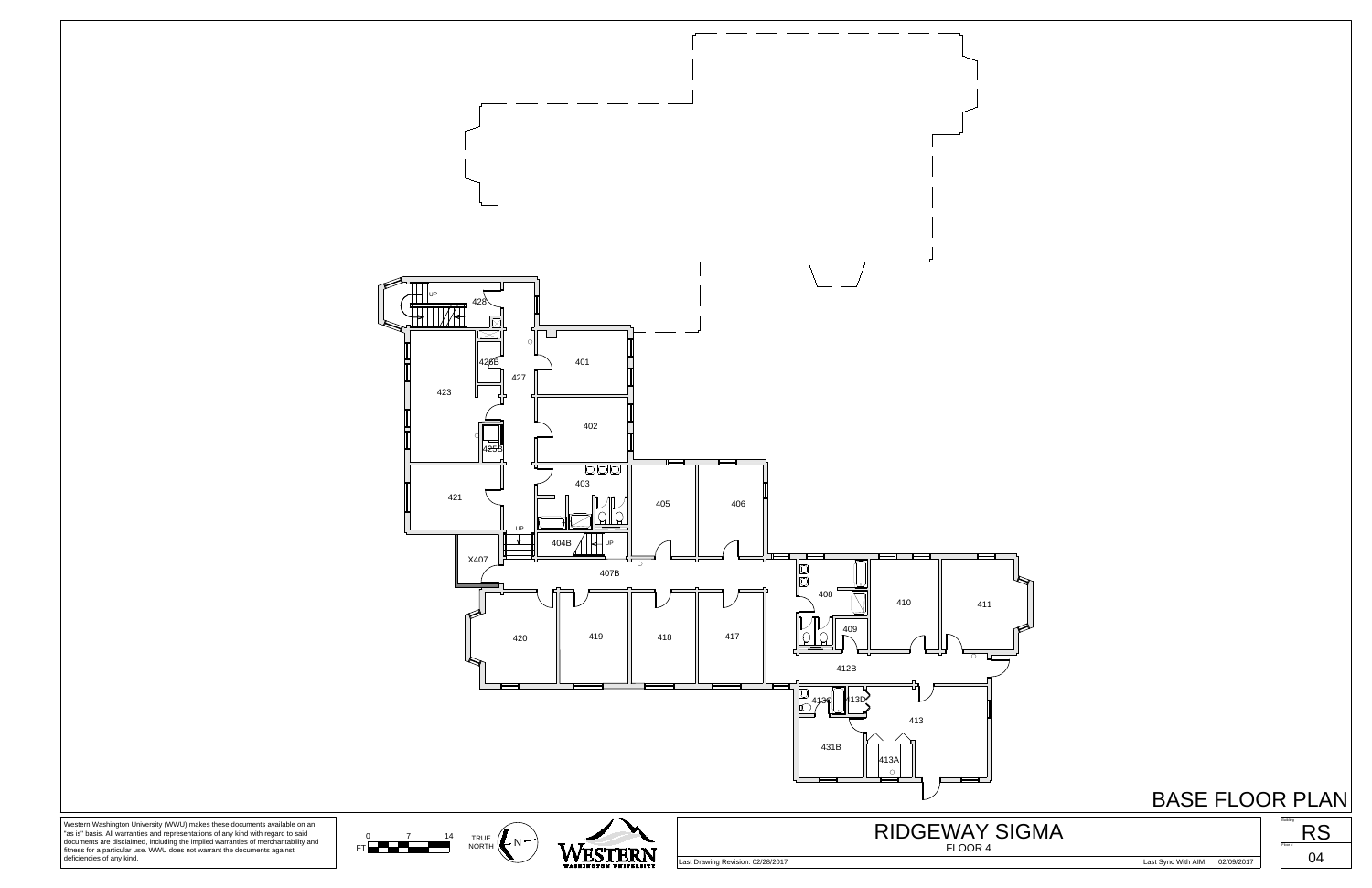

BASE FLOOR PLAN

documents are disclaimed, including the implied warranties of merchantability and fitness for a particular use. WWU does not warrant the documents against deficiencies of any kind.

FT **NORTHER** 





FLOOR 4